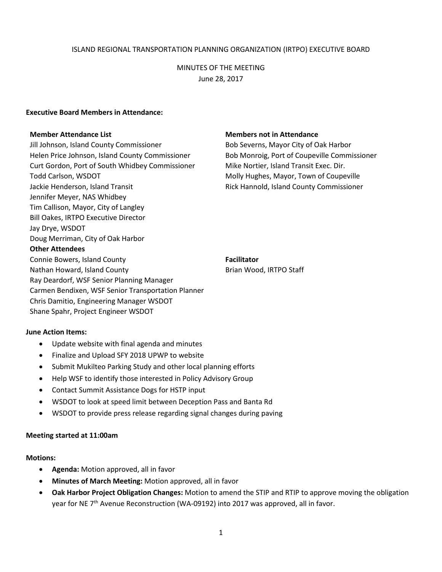## ISLAND REGIONAL TRANSPORTATION PLANNING ORGANIZATION (IRTPO) EXECUTIVE BOARD

# MINUTES OF THE MEETING June 28, 2017

#### **Executive Board Members in Attendance:**

Jill Johnson, Island County Commissioner Bob Severns, Mayor City of Oak Harbor Helen Price Johnson, Island County Commissioner Bob Monroig, Port of Coupeville Commissioner Curt Gordon, Port of South Whidbey Commissioner Mike Nortier, Island Transit Exec. Dir. Todd Carlson, WSDOT TOD MOLL TODGES, Mayor, Town of Coupeville Jackie Henderson, Island Transit Rick Hannold, Island County Commissioner Jennifer Meyer, NAS Whidbey Tim Callison, Mayor, City of Langley Bill Oakes, IRTPO Executive Director Jay Drye, WSDOT Doug Merriman, City of Oak Harbor **Other Attendees** Connie Bowers, Island County **Facilitator Facilitator** Nathan Howard, Island County **Brian Wood, IRTPO Staff** Brian Wood, IRTPO Staff Ray Deardorf, WSF Senior Planning Manager • Carmen Bendixen, WSF Senior Transportation Carmen Bendixen, WSF Senior Transportation Planner Chris Damitio, Engineering Manager WSDOT

### **Member Attendance List Members not in Attendance**

### **June Action Items:**

Update website with final agenda and minutes

Shane Spahr, Project Engineer WSDOT

- Finalize and Upload SFY 2018 UPWP to website
- Submit Mukilteo Parking Study and other local planning efforts
- Help WSF to identify those interested in Policy Advisory Group
- Contact Summit Assistance Dogs for HSTP input
- WSDOT to look at speed limit between Deception Pass and Banta Rd
- WSDOT to provide press release regarding signal changes during paving

### **Meeting started at 11:00am**

### **Motions:**

- **Agenda:** Motion approved, all in favor
- **Minutes of March Meeting:** Motion approved, all in favor
- **Oak Harbor Project Obligation Changes:** Motion to amend the STIP and RTIP to approve moving the obligation year for NE 7<sup>th</sup> Avenue Reconstruction (WA-09192) into 2017 was approved, all in favor.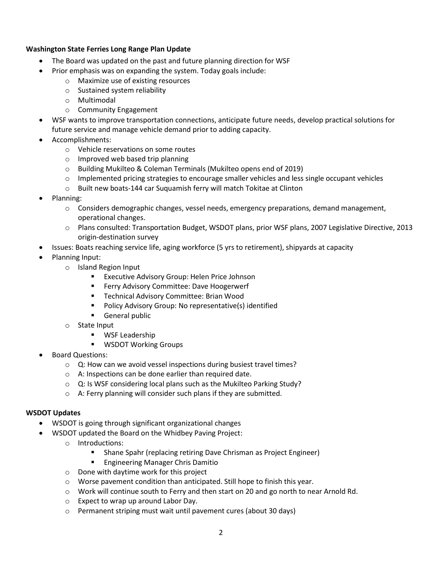# **Washington State Ferries Long Range Plan Update**

- The Board was updated on the past and future planning direction for WSF
- Prior emphasis was on expanding the system. Today goals include:
	- o Maximize use of existing resources
	- o Sustained system reliability
	- o Multimodal
	- o Community Engagement
- WSF wants to improve transportation connections, anticipate future needs, develop practical solutions for future service and manage vehicle demand prior to adding capacity.
- Accomplishments:
	- o Vehicle reservations on some routes
	- o Improved web based trip planning
	- o Building Mukilteo & Coleman Terminals (Mukilteo opens end of 2019)
	- $\circ$  Implemented pricing strategies to encourage smaller vehicles and less single occupant vehicles
	- o Built new boats-144 car Suquamish ferry will match Tokitae at Clinton
- Planning:
	- $\circ$  Considers demographic changes, vessel needs, emergency preparations, demand management, operational changes.
	- o Plans consulted: Transportation Budget, WSDOT plans, prior WSF plans, 2007 Legislative Directive, 2013 origin-destination survey
- Issues: Boats reaching service life, aging workforce (5 yrs to retirement), shipyards at capacity
- Planning Input:
	- o Island Region Input
		- **EXECUTIVE Advisory Group: Helen Price Johnson**
		- **Ferry Advisory Committee: Dave Hoogerwerf**
		- **Technical Advisory Committee: Brian Wood**
		- **Policy Advisory Group: No representative(s) identified**
		- **General public**
	- o State Input
		- **WSF Leadership**
		- **WISDOT Working Groups**
- Board Questions:
	- o Q: How can we avoid vessel inspections during busiest travel times?
	- o A: Inspections can be done earlier than required date.
	- $\circ$  Q: Is WSF considering local plans such as the Mukilteo Parking Study?
	- o A: Ferry planning will consider such plans if they are submitted.

## **WSDOT Updates**

- WSDOT is going through significant organizational changes
- WSDOT updated the Board on the Whidbey Paving Project:
	- o Introductions:
		- **Shane Spahr (replacing retiring Dave Chrisman as Project Engineer)**
		- **Engineering Manager Chris Damitio**
	- o Done with daytime work for this project
	- o Worse pavement condition than anticipated. Still hope to finish this year.
	- $\circ$  Work will continue south to Ferry and then start on 20 and go north to near Arnold Rd.
	- o Expect to wrap up around Labor Day.
	- o Permanent striping must wait until pavement cures (about 30 days)